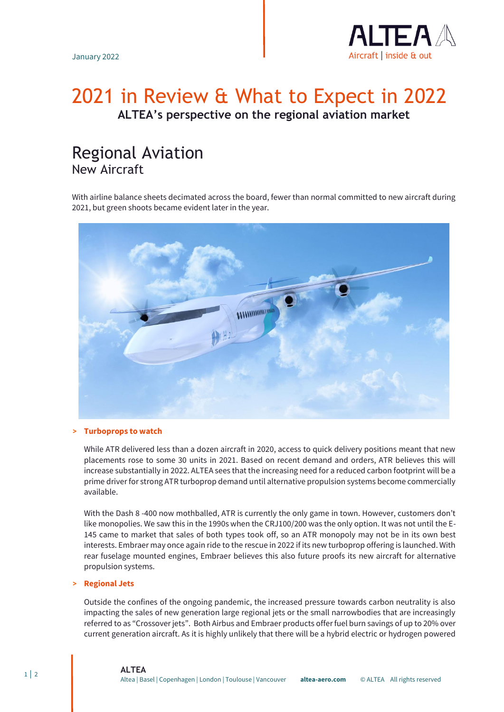

# 2021 in Review & What to Expect in 2022 **ALTEA's perspective on the regional aviation market**

# Regional Aviation New Aircraft

With airline balance sheets decimated across the board, fewer than normal committed to new aircraft during 2021, but green shoots became evident later in the year.



## **> Turboprops to watch**

While ATR delivered less than a dozen aircraft in 2020, access to quick delivery positions meant that new placements rose to some 30 units in 2021. Based on recent demand and orders, ATR believes this will increase substantially in 2022. ALTEA sees that the increasing need for a reduced carbon footprint will be a prime driver for strong ATR turboprop demand until alternative propulsion systems become commercially available.

With the Dash 8 -400 now mothballed, ATR is currently the only game in town. However, customers don't like monopolies. We saw this in the 1990s when the CRJ100/200 was the only option. It was not until the E-145 came to market that sales of both types took off, so an ATR monopoly may not be in its own best interests. Embraer may once again ride to the rescue in 2022 if its new turboprop offering is launched. With rear fuselage mounted engines, Embraer believes this also future proofs its new aircraft for alternative propulsion systems.

#### **> Regional Jets**

Outside the confines of the ongoing pandemic, the increased pressure towards carbon neutrality is also impacting the sales of new generation large regional jets or the small narrowbodies that are increasingly referred to as "Crossover jets". Both Airbus and Embraer products offer fuel burn savings of up to 20% over current generation aircraft. As it is highly unlikely that there will be a hybrid electric or hydrogen powered